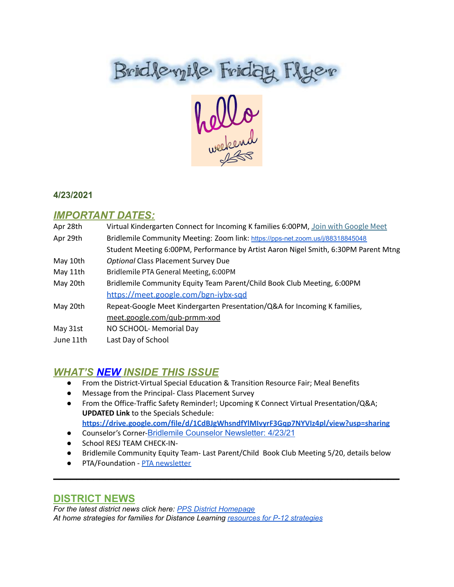# Bridteryile Friday Flyer

#### **4/23/2021**

# *IMPORTANT DATES:*

| Apr 28th  | Virtual Kindergarten Connect for Incoming K families 6:00PM, Join with Google Meet  |
|-----------|-------------------------------------------------------------------------------------|
| Apr 29th  | Bridlemile Community Meeting: Zoom link: https://pps-net.zoom.us/j/88318845048      |
|           | Student Meeting 6:00PM, Performance by Artist Aaron Nigel Smith, 6:30PM Parent Mtng |
| May 10th  | <b>Optional Class Placement Survey Due</b>                                          |
| May 11th  | Bridlemile PTA General Meeting, 6:00PM                                              |
| May 20th  | Bridlemile Community Equity Team Parent/Child Book Club Meeting, 6:00PM             |
|           | https://meet.google.com/bgn-iybx-sqd                                                |
| May 20th  | Repeat-Google Meet Kindergarten Presentation/Q&A for Incoming K families,           |
|           | meet.google.com/qub-prmm-xod                                                        |
| May 31st  | NO SCHOOL- Memorial Day                                                             |
| June 11th | Last Day of School                                                                  |

# *WHAT'S NEW INSIDE THIS ISSUE*

- From the District-Virtual Special Education & Transition Resource Fair; Meal Benefits
- Message from the Principal- Class Placement Survey
- From the Office-Traffic Safety Reminder!; Upcoming K Connect Virtual Presentation/Q&A; **UPDATED Link** to the Specials Schedule: **<https://drive.google.com/file/d/1CdBJgWhsndfYlMIvyrF3Gqp7NYVIz4pl/view?usp=sharing>**
- Counselor's Corner-Bridlemile Counselor [Newsletter:](https://www.smore.com/q4wbh) 4/23/21
- **•** School RESJ TEAM CHECK-IN-
- Bridlemile Community Equity Team- Last Parent/Child Book Club Meeting 5/20, details below

 $\mathcal{L}_\text{max}$  and  $\mathcal{L}_\text{max}$  and  $\mathcal{L}_\text{max}$  and  $\mathcal{L}_\text{max}$  and  $\mathcal{L}_\text{max}$  and  $\mathcal{L}_\text{max}$ 

● PTA/Foundation - PTA [newsletter](https://docs.google.com/document/d/e/2PACX-1vQlZCPHtKxqO7qpJwiwgoeaZ1ERHVLgg6z0JNYJMTulwn7xlOVY_X2I1ZV9nntsGHP57LEZ_uSufaFj/pub)

# **DISTRICT NEWS**

*For the latest district news click here: PPS District [Homepage](https://www.pps.net/portland) At home strategies for families for Distance Learning [resources](https://sites.google.com/pps.net/athomestrategies/home) for P-12 strategies*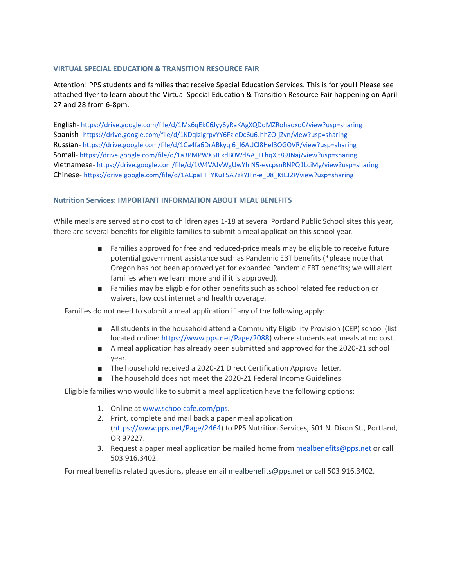#### **VIRTUAL SPECIAL EDUCATION & TRANSITION RESOURCE FAIR**

Attention! PPS students and families that receive Special Education Services. This is for you!! Please see attached flyer to learn about the Virtual Special Education & Transition Resource Fair happening on April 27 and 28 from 6-8pm.

English- <https://drive.google.com/file/d/1Ms6qEkC6Jyy6yRaKAgXQDdMZRohaqxoC/view?usp=sharing> Spanish- <https://drive.google.com/file/d/1KDqIzlgrpvYY6FzleDc6u6JhhZQ-jZvn/view?usp=sharing> Russian- [https://drive.google.com/file/d/1Ca4fa6DrABkyql6\\_I6AUCl8HeI3OGOVR/view?usp=sharing](https://drive.google.com/file/d/1Ca4fa6DrABkyql6_I6AUCl8HeI3OGOVR/view?usp=sharing) Somali- [https://drive.google.com/file/d/1a3PMPWX5IFkdB0WdAA\\_LLhqXlt89JNaj/view?usp=sharing](https://drive.google.com/file/d/1a3PMPWX5IFkdB0WdAA_LLhqXlt89JNaj/view?usp=sharing) Vietnamese- <https://drive.google.com/file/d/1W4VAJyWgUwYhlN5-eycpsnRNPQ1LciMy/view?usp=sharing> Chinese- [https://drive.google.com/file/d/1ACpaFTTYKuT5A7zkYJFn-e\\_08\\_KtEJ2P/view?usp=sharing](https://drive.google.com/file/d/1ACpaFTTYKuT5A7zkYJFn-e_08_KtEJ2P/view?usp=sharing)

#### **Nutrition Services: IMPORTANT INFORMATION ABOUT MEAL BENEFITS**

While meals are served at no cost to children ages 1-18 at several Portland Public School sites this year, there are several benefits for eligible families to submit a meal application this school year.

- Families approved for free and reduced-price meals may be eligible to receive future potential government assistance such as Pandemic EBT benefits (\*please note that Oregon has not been approved yet for expanded Pandemic EBT benefits; we will alert families when we learn more and if it is approved).
- Families may be eligible for other benefits such as school related fee reduction or waivers, low cost internet and health coverage.

Families do not need to submit a meal application if any of the following apply:

- All students in the household attend a Community Eligibility Provision (CEP) school (list located online: <https://www.pps.net/Page/2088>) where students eat meals at no cost.
- A meal application has already been submitted and approved for the 2020-21 school year.
- The household received a 2020-21 Direct Certification Approval letter.
- The household does not meet the 2020-21 Federal Income Guidelines

Eligible families who would like to submit a meal application have the following options:

- 1. Online at [www.schoolcafe.com/pps](http://www.schoolcafe.com/pps).
- 2. Print, complete and mail back a paper meal application (<https://www.pps.net/Page/2464>) to PPS Nutrition Services, 501 N. Dixon St., Portland, OR 97227.
- 3. Request a paper meal application be mailed home from mealbenefits@pps.net or call 503.916.3402.

For meal benefits related questions, please email mealbenefits@pps.net or call 503.916.3402.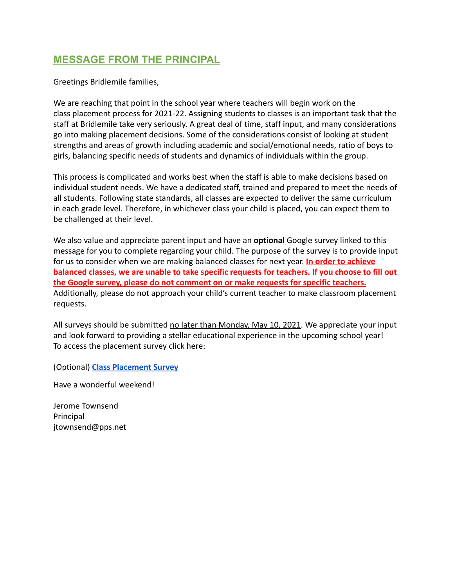# **MESSAGE FROM THE PRINCIPAL**

Greetings Bridlemile families,

We are reaching that point in the school year where teachers will begin work on the class placement process for 2021-22. Assigning students to classes is an important task that the staff at Bridlemile take very seriously. A great deal of time, staff input, and many considerations go into making placement decisions. Some of the considerations consist of looking at student strengths and areas of growth including academic and social/emotional needs, ratio of boys to girls, balancing specific needs of students and dynamics of individuals within the group.

This process is complicated and works best when the staff is able to make decisions based on individual student needs. We have a dedicated staff, trained and prepared to meet the needs of all students. Following state standards, all classes are expected to deliver the same curriculum in each grade level. Therefore, in whichever class your child is placed, you can expect them to be challenged at their level.

We also value and appreciate parent input and have an **optional** Google survey linked to this message for you to complete regarding your child. The purpose of the survey is to provide input for us to consider when we are making balanced classes for next year. **In order to achieve balanced classes, we are unable to take specific requests for teachers. If you choose to fill out the Google survey, please do not comment on or make requests for specific teachers.** Additionally, please do not approach your child's current teacher to make classroom placement requests.

All surveys should be submitted no later than Monday, May 10, 2021. We appreciate your input and look forward to providing a stellar educational experience in the upcoming school year! To access the placement survey click here:

(Optional) **[Class Placement Survey](https://docs.google.com/forms/d/e/1FAIpQLSdl1qvpXggpNQUIQTGtyY0rcrYNpoucYAsk0F4j-9OZw8Wisw/viewform?usp=sf_link)**

Have a wonderful weekend!

Jerome Townsend Principal jtownsend@pps.net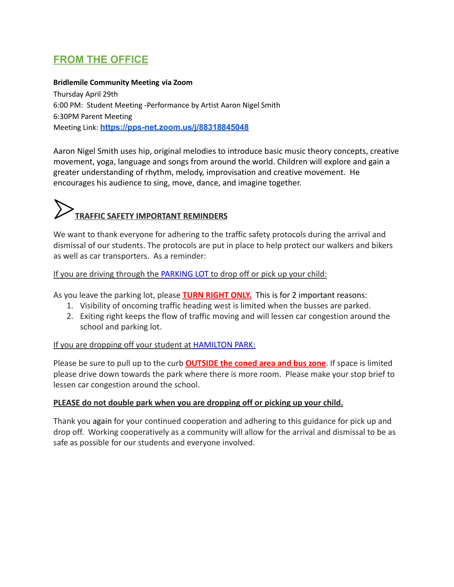# **FROM THE OFFICE**

#### **Bridlemile Community Meeting via Zoom**

Thursday April 29th 6:00 PM: Student Meeting -Performance by Artist Aaron Nigel Smith 6:30PM Parent Meeting Meeting Link: **<https://pps-net.zoom.us/j/88318845048>**

Aaron Nigel Smith uses hip, original melodies to introduce basic music theory concepts, creative movement, yoga, language and songs from around the world. Children will explore and gain a greater understanding of rhythm, melody, improvisation and creative movement. He encourages his audience to sing, move, dance, and imagine together.

# **TRAFFIC SAFETY IMPORTANT REMINDERS**

We want to thank everyone for adhering to the traffic safety protocols during the arrival and dismissal of our students. The protocols are put in place to help protect our walkers and bikers as well as car transporters. As a reminder:

If you are driving through the PARKING LOT to drop off or pick up your child:

As you leave the parking lot, please **TURN RIGHT ONLY.** This is for 2 important reasons:

- 1. Visibility of oncoming traffic heading west is limited when the busses are parked.
- 2. Exiting right keeps the flow of traffic moving and will lessen car congestion around the school and parking lot.

#### If you are dropping off your student at HAMILTON PARK:

Please be sure to pull up to the curb **OUTSIDE the coned area and bus zone**. If space is limited please drive down towards the park where there is more room. Please make your stop brief to lessen car congestion around the school.

#### **PLEASE do not double park when you are dropping off or picking up your child.**

Thank you again for your continued cooperation and adhering to this guidance for pick up and drop off. Working cooperatively as a community will allow for the arrival and dismissal to be as safe as possible for our students and everyone involved.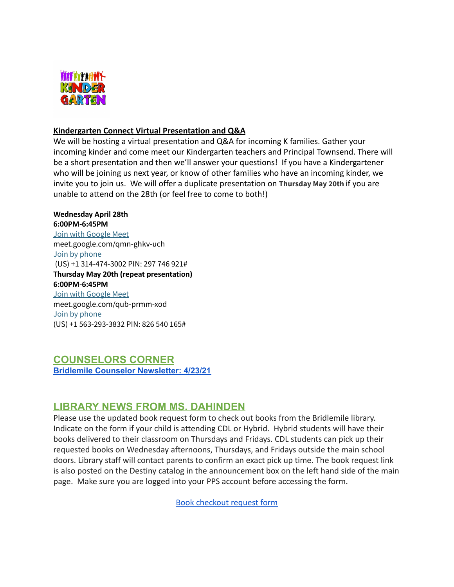

#### **Kindergarten Connect Virtual Presentation and Q&A**

We will be hosting a virtual presentation and Q&A for incoming K families. Gather your incoming kinder and come meet our Kindergarten teachers and Principal Townsend. There will be a short presentation and then we'll answer your questions! If you have a Kindergartener who will be joining us next year, or know of other families who have an incoming kinder, we invite you to join us. We will offer a duplicate presentation on **Thursday May 20th** if you are unable to attend on the 28th (or feel free to come to both!)

#### **Wednesday April 28th 6:00PM-6:45PM**

Join with [Google](https://meet.google.com/qmn-ghkv-uch?authuser=0&hs=122) Meet meet.google.com/qmn-ghkv-uch Join by phone (US) +1 314-474-3002 PIN: 297 746 921# **Thursday May 20th (repeat presentation) 6:00PM-6:45PM** Join with [Google](https://meet.google.com/qub-prmm-xod?authuser=0&hs=122) Meet meet.google.com/qub-prmm-xod Join by phone (US) +1 563-293-3832 PIN: 826 540 165#

# **COUNSELORS CORNER Bridlemile Counselor [Newsletter:](https://www.smore.com/q4wbh) 4/23/21**

# **LIBRARY NEWS FROM MS. DAHINDEN**

Please use the updated book request form to check out books from the Bridlemile library. Indicate on the form if your child is attending CDL or Hybrid. Hybrid students will have their books delivered to their classroom on Thursdays and Fridays. CDL students can pick up their requested books on Wednesday afternoons, Thursdays, and Fridays outside the main school doors. Library staff will contact parents to confirm an exact pick up time. The book request link is also posted on the Destiny catalog in the announcement box on the left hand side of the main page. Make sure you are logged into your PPS account before accessing the form.

[Book checkout request form](https://forms.gle/Wa7o4RR6VTb3z9oo6)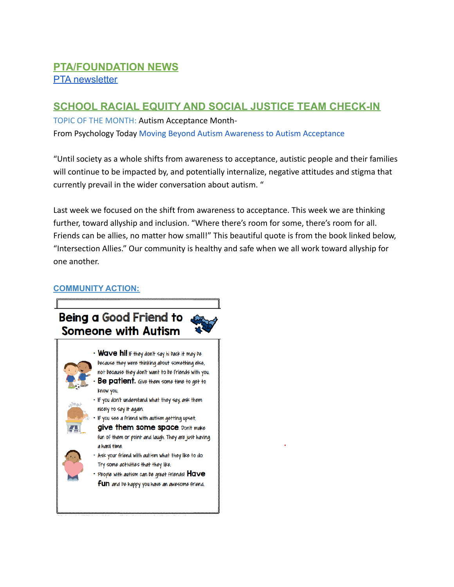# **PTA/FOUNDATION NEWS PTA** [newsletter](https://docs.google.com/document/d/e/2PACX-1vQlZCPHtKxqO7qpJwiwgoeaZ1ERHVLgg6z0JNYJMTulwn7xlOVY_X2I1ZV9nntsGHP57LEZ_uSufaFj/pub)

# **SCHOOL RACIAL EQUITY AND SOCIAL JUSTICE TEAM CHECK-IN**

TOPIC OF THE MONTH: Autism Acceptance Month-From Psychology Today [Moving Beyond Autism Awareness](https://www.psychologytoday.com/us/blog/insights-about-autism/202004/moving-beyond-autism-awareness-autism-acceptance) to Autism Acceptance

"Until society as a whole shifts from awareness to acceptance, autistic people and their families will continue to be impacted by, and potentially internalize, negative attitudes and stigma that currently prevail in the wider conversation about autism. "

Last week we focused on the shift from awareness to acceptance. This week we are thinking further, toward allyship and inclusion. "Where there's room for some, there's room for all. Friends can be allies, no matter how small!" This beautiful quote is from the book linked below, "Intersection Allies." Our community is healthy and safe when we all work toward allyship for one another.

#### **COMMUNITY ACTION:**